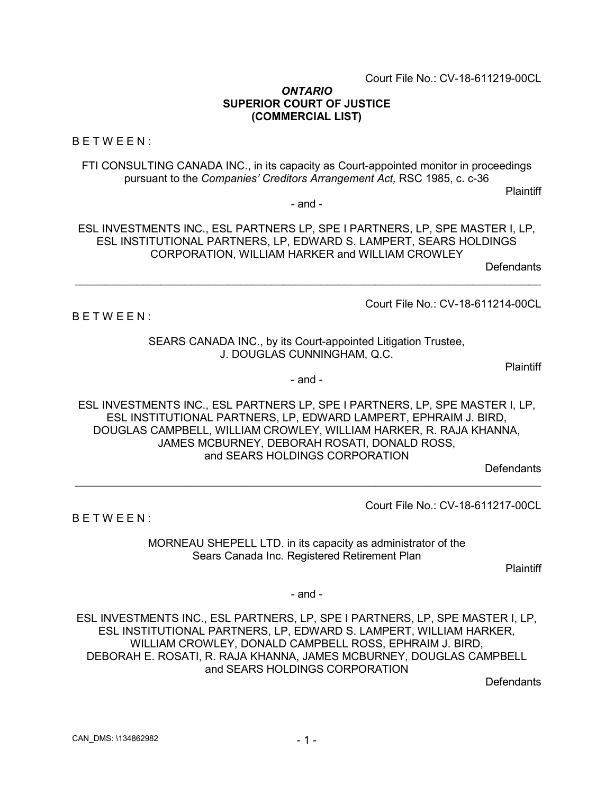Court File No.: CV-18-611219-00CL

#### *ONTARIO* **SUPERIOR COURT OF JUSTICE (COMMERCIAL LIST)**

BETWEEN:

BETWEEN:

FTI CONSULTING CANADA INC., in its capacity as Court-appointed monitor in proceedings pursuant to the *Companies' Creditors Arrangement Act,* RSC 1985, c. c-36

Plaintiff

- and -

ESL INVESTMENTS INC., ESL PARTNERS LP, SPE I PARTNERS, LP, SPE MASTER I, LP, ESL INSTITUTIONAL PARTNERS, LP, EDWARD S. LAMPERT, SEARS HOLDINGS CORPORATION, WILLIAM HARKER and WILLIAM CROWLEY

\_\_\_\_\_\_\_\_\_\_\_\_\_\_\_\_\_\_\_\_\_\_\_\_\_\_\_\_\_\_\_\_\_\_\_\_\_\_\_\_\_\_\_\_\_\_\_\_\_\_\_\_\_\_\_\_\_\_\_\_\_\_\_\_\_\_\_\_\_\_\_\_\_\_\_\_

**Defendants** 

Court File No.: CV-18-611214-00CL

SEARS CANADA INC., by its Court-appointed Litigation Trustee, J. DOUGLAS CUNNINGHAM, Q.C.

Plaintiff

- and -

ESL INVESTMENTS INC., ESL PARTNERS LP, SPE I PARTNERS, LP, SPE MASTER I, LP, ESL INSTITUTIONAL PARTNERS, LP, EDWARD LAMPERT, EPHRAIM J. BIRD, DOUGLAS CAMPBELL, WILLIAM CROWLEY, WILLIAM HARKER, R. RAJA KHANNA, JAMES MCBURNEY, DEBORAH ROSATI, DONALD ROSS, and SEARS HOLDINGS CORPORATION

\_\_\_\_\_\_\_\_\_\_\_\_\_\_\_\_\_\_\_\_\_\_\_\_\_\_\_\_\_\_\_\_\_\_\_\_\_\_\_\_\_\_\_\_\_\_\_\_\_\_\_\_\_\_\_\_\_\_\_\_\_\_\_\_\_\_\_\_\_\_\_\_\_\_\_\_

**Defendants** 

Court File No.: CV-18-611217-00CL

BETWEEN:

MORNEAU SHEPELL LTD. in its capacity as administrator of the Sears Canada Inc. Registered Retirement Plan

**Plaintiff** 

- and -

ESL INVESTMENTS INC., ESL PARTNERS, LP, SPE I PARTNERS, LP, SPE MASTER I, LP, ESL INSTITUTIONAL PARTNERS, LP, EDWARD S. LAMPERT, WILLIAM HARKER, WILLIAM CROWLEY, DONALD CAMPBELL ROSS, EPHRAIM J. BIRD, DEBORAH E. ROSATI, R. RAJA KHANNA, JAMES MCBURNEY, DOUGLAS CAMPBELL and SEARS HOLDINGS CORPORATION

**Defendants**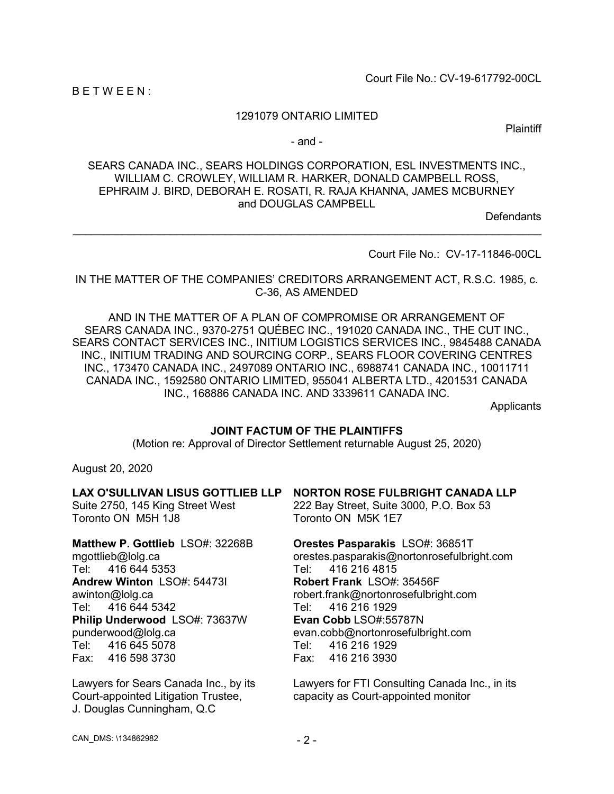Court File No.: CV-19-617792-00CL

BETWEEN:

# 1291079 ONTARIO LIMITED

Plaintiff

- and -

SEARS CANADA INC., SEARS HOLDINGS CORPORATION, ESL INVESTMENTS INC., WILLIAM C. CROWLEY, WILLIAM R. HARKER, DONALD CAMPBELL ROSS, EPHRAIM J. BIRD, DEBORAH E. ROSATI, R. RAJA KHANNA, JAMES MCBURNEY and DOUGLAS CAMPBELL

 $\_$  , and the set of the set of the set of the set of the set of the set of the set of the set of the set of the set of the set of the set of the set of the set of the set of the set of the set of the set of the set of th

**Defendants** 

Court File No.: CV-17-11846-00CL

IN THE MATTER OF THE COMPANIES' CREDITORS ARRANGEMENT ACT, R.S.C. 1985, c. C-36, AS AMENDED

AND IN THE MATTER OF A PLAN OF COMPROMISE OR ARRANGEMENT OF SEARS CANADA INC., 9370-2751 QUÉBEC INC., 191020 CANADA INC., THE CUT INC., SEARS CONTACT SERVICES INC., INITIUM LOGISTICS SERVICES INC., 9845488 CANADA INC., INITIUM TRADING AND SOURCING CORP., SEARS FLOOR COVERING CENTRES INC., 173470 CANADA INC., 2497089 ONTARIO INC., 6988741 CANADA INC., 10011711 CANADA INC., 1592580 ONTARIO LIMITED, 955041 ALBERTA LTD., 4201531 CANADA INC., 168886 CANADA INC. AND 3339611 CANADA INC.

**Applicants** 

### **JOINT FACTUM OF THE PLAINTIFFS**

(Motion re: Approval of Director Settlement returnable August 25, 2020)

August 20, 2020

#### **LAX O'SULLIVAN LISUS GOTTLIEB LLP** Suite 2750, 145 King Street West Toronto ON M5H 1J8 **Matthew P. Gottlieb** LSO#: 32268B mgottlieb@lolg.ca Tel: 416 644 5353 **NORTON ROSE FULBRIGHT CANADA LLP** 222 Bay Street, Suite 3000, P.O. Box 53 Toronto ON M5K 1E7 **Orestes Pasparakis** LSO#: 36851T orestes.pasparakis@nortonrosefulbright.com Tel: 416 216 4815

**Andrew Winton** LSO#: 54473I awinton@lolg.ca Tel: 416 644 5342 **Philip Underwood** LSO#: 73637W punderwood@lolg.ca Tel: 416 645 5078 Fax: 416 598 3730

Lawyers for Sears Canada Inc., by its Court-appointed Litigation Trustee, J. Douglas Cunningham, Q.C

**Robert Frank** LSO#: 35456F robert.frank@nortonrosefulbright.com Tel: 416 216 1929 **Evan Cobb** LSO#:55787N evan.cobb@nortonrosefulbright.com Tel: 416 216 1929 Fax: 416 216 3930

Lawyers for FTI Consulting Canada Inc., in its capacity as Court-appointed monitor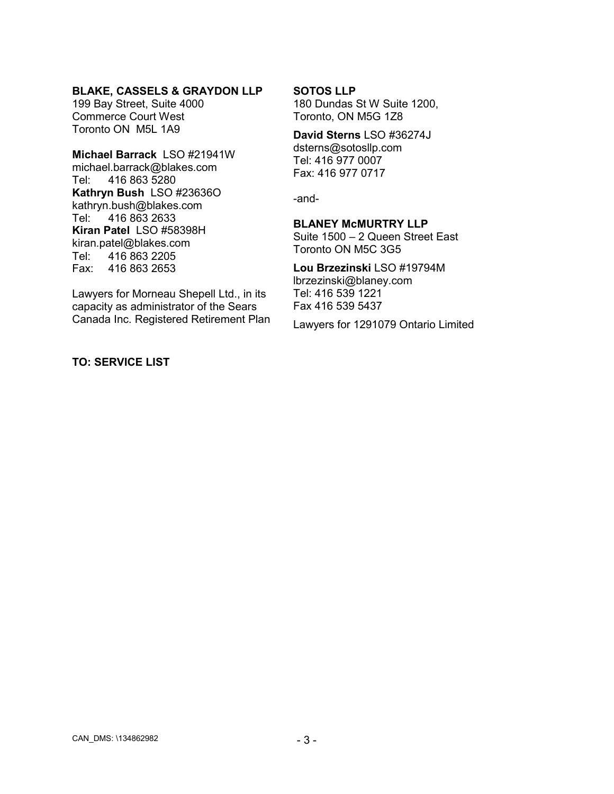# **BLAKE, CASSELS & GRAYDON LLP**

199 Bay Street, Suite 4000 Commerce Court West Toronto ON M5L 1A9

**Michael Barrack** LSO #21941W michael.barrack@blakes.com Tel: 416 863 5280 **Kathryn Bush** LSO #23636O kathryn.bush@blakes.com Tel: 416 863 2633 **Kiran Patel** LSO #58398H kiran.patel@blakes.com Tel: 416 863 2205 Fax: 416 863 2653

Lawyers for Morneau Shepell Ltd., in its capacity as administrator of the Sears Canada Inc. Registered Retirement Plan

# **TO: SERVICE LIST**

#### **SOTOS LLP**

180 Dundas St W Suite 1200, Toronto, ON M5G 1Z8

#### **David Sterns** LSO #36274J

dsterns@sotosllp.com Tel: 416 977 0007 Fax: 416 977 0717

-and-

### **BLANEY McMURTRY LLP**

Suite 1500 – 2 Queen Street East Toronto ON M5C 3G5

# **Lou Brzezinski** LSO #19794M lbrzezinski@blaney.com

Tel: 416 539 1221 Fax 416 539 5437

Lawyers for 1291079 Ontario Limited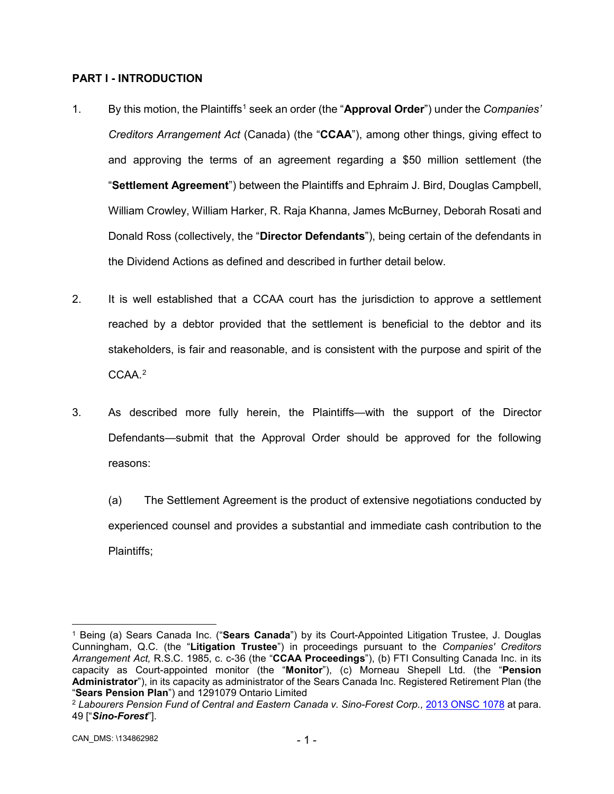# **PART I - INTRODUCTION**

- 1. By this motion, the Plaintiffs[1](#page-3-0) seek an order (the "**Approval Order**") under the *Companies' Creditors Arrangement Act* (Canada) (the "**CCAA**"), among other things, giving effect to and approving the terms of an agreement regarding a \$50 million settlement (the "**Settlement Agreement**") between the Plaintiffs and Ephraim J. Bird, Douglas Campbell, William Crowley, William Harker, R. Raja Khanna, James McBurney, Deborah Rosati and Donald Ross (collectively, the "**Director Defendants**"), being certain of the defendants in the Dividend Actions as defined and described in further detail below.
- 2. It is well established that a CCAA court has the jurisdiction to approve a settlement reached by a debtor provided that the settlement is beneficial to the debtor and its stakeholders, is fair and reasonable, and is consistent with the purpose and spirit of the CCAA.<sup>[2](#page-3-1)</sup>
- 3. As described more fully herein, the Plaintiffs—with the support of the Director Defendants—submit that the Approval Order should be approved for the following reasons:
	- (a) The Settlement Agreement is the product of extensive negotiations conducted by experienced counsel and provides a substantial and immediate cash contribution to the Plaintiffs;

<span id="page-3-0"></span> <sup>1</sup> Being (a) Sears Canada Inc. ("**Sears Canada**") by its Court-Appointed Litigation Trustee, J. Douglas Cunningham, Q.C. (the "**Litigation Trustee**") in proceedings pursuant to the *Companies' Creditors Arrangement Act,* R.S.C. 1985, c. c-36 (the "**CCAA Proceedings**"), (b) FTI Consulting Canada Inc. in its capacity as Court-appointed monitor (the "**Monitor**"), (c) Morneau Shepell Ltd. (the "**Pension Administrator**"), in its capacity as administrator of the Sears Canada Inc. Registered Retirement Plan (the "**Sears Pension Plan**") and 1291079 Ontario Limited

<span id="page-3-1"></span><sup>&</sup>lt;sup>2</sup> Labourers Pension Fund of Central and Eastern Canada v. Sino-Forest Corp., [2013 ONSC 1078](http://canlii.ca/t/fwq19) at para. 49 ["*Sino-Forest*"].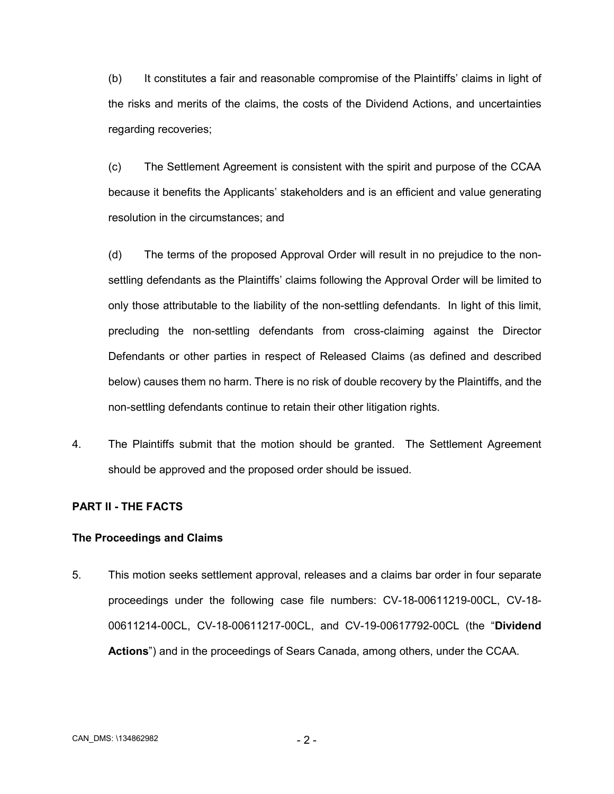(b) It constitutes a fair and reasonable compromise of the Plaintiffs' claims in light of the risks and merits of the claims, the costs of the Dividend Actions, and uncertainties regarding recoveries;

(c) The Settlement Agreement is consistent with the spirit and purpose of the CCAA because it benefits the Applicants' stakeholders and is an efficient and value generating resolution in the circumstances; and

(d) The terms of the proposed Approval Order will result in no prejudice to the nonsettling defendants as the Plaintiffs' claims following the Approval Order will be limited to only those attributable to the liability of the non-settling defendants. In light of this limit, precluding the non-settling defendants from cross-claiming against the Director Defendants or other parties in respect of Released Claims (as defined and described below) causes them no harm. There is no risk of double recovery by the Plaintiffs, and the non-settling defendants continue to retain their other litigation rights.

4. The Plaintiffs submit that the motion should be granted. The Settlement Agreement should be approved and the proposed order should be issued.

### **PART II - THE FACTS**

### **The Proceedings and Claims**

5. This motion seeks settlement approval, releases and a claims bar order in four separate proceedings under the following case file numbers: CV-18-00611219-00CL, CV-18- 00611214-00CL, CV-18-00611217-00CL, and CV-19-00617792-00CL (the "**Dividend Actions**") and in the proceedings of Sears Canada, among others, under the CCAA.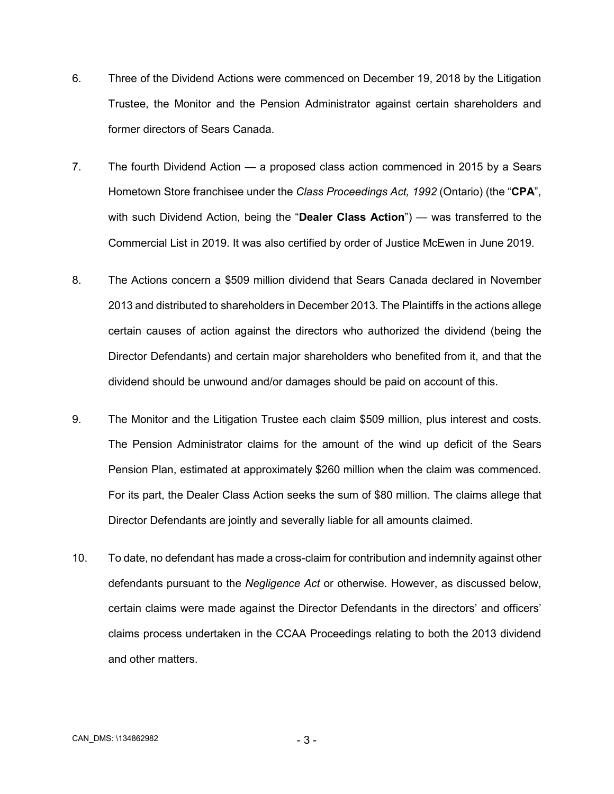- 6. Three of the Dividend Actions were commenced on December 19, 2018 by the Litigation Trustee, the Monitor and the Pension Administrator against certain shareholders and former directors of Sears Canada.
- 7. The fourth Dividend Action a proposed class action commenced in 2015 by a Sears Hometown Store franchisee under the *Class Proceedings Act, 1992* (Ontario) (the "**CPA**", with such Dividend Action, being the "**Dealer Class Action**") — was transferred to the Commercial List in 2019. It was also certified by order of Justice McEwen in June 2019.
- 8. The Actions concern a \$509 million dividend that Sears Canada declared in November 2013 and distributed to shareholders in December 2013. The Plaintiffs in the actions allege certain causes of action against the directors who authorized the dividend (being the Director Defendants) and certain major shareholders who benefited from it, and that the dividend should be unwound and/or damages should be paid on account of this.
- 9. The Monitor and the Litigation Trustee each claim \$509 million, plus interest and costs. The Pension Administrator claims for the amount of the wind up deficit of the Sears Pension Plan, estimated at approximately \$260 million when the claim was commenced. For its part, the Dealer Class Action seeks the sum of \$80 million. The claims allege that Director Defendants are jointly and severally liable for all amounts claimed.
- 10. To date, no defendant has made a cross-claim for contribution and indemnity against other defendants pursuant to the *Negligence Act* or otherwise. However, as discussed below, certain claims were made against the Director Defendants in the directors' and officers' claims process undertaken in the CCAA Proceedings relating to both the 2013 dividend and other matters.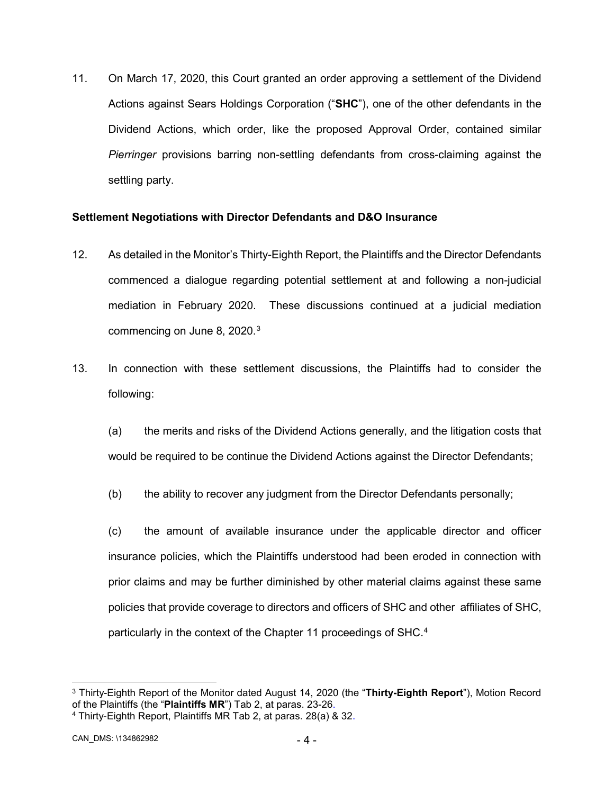11. On March 17, 2020, this Court granted an order approving a settlement of the Dividend Actions against Sears Holdings Corporation ("**SHC**"), one of the other defendants in the Dividend Actions, which order, like the proposed Approval Order, contained similar *Pierringer* provisions barring non-settling defendants from cross-claiming against the settling party.

# **Settlement Negotiations with Director Defendants and D&O Insurance**

- 12. As detailed in the Monitor's Thirty-Eighth Report, the Plaintiffs and the Director Defendants commenced a dialogue regarding potential settlement at and following a non-judicial mediation in February 2020. These discussions continued at a judicial mediation commencing on June 8, 2020. $^3$  $^3$
- 13. In connection with these settlement discussions, the Plaintiffs had to consider the following:
	- (a) the merits and risks of the Dividend Actions generally, and the litigation costs that would be required to be continue the Dividend Actions against the Director Defendants;
	- (b) the ability to recover any judgment from the Director Defendants personally;
	- (c) the amount of available insurance under the applicable director and officer insurance policies, which the Plaintiffs understood had been eroded in connection with prior claims and may be further diminished by other material claims against these same policies that provide coverage to directors and officers of SHC and other affiliates of SHC, particularly in the context of the Chapter 11 proceedings of SHC. [4](#page-6-1)

<span id="page-6-0"></span> <sup>3</sup> Thirty-Eighth Report of the Monitor dated August 14, 2020 (the "**Thirty-Eighth Report**"), Motion Record of the Plaintiffs (the "**Plaintiffs MR**") Tab 2, at paras. 23-26.

<span id="page-6-1"></span><sup>4</sup> Thirty-Eighth Report, Plaintiffs MR Tab 2, at paras. 28(a) & 32.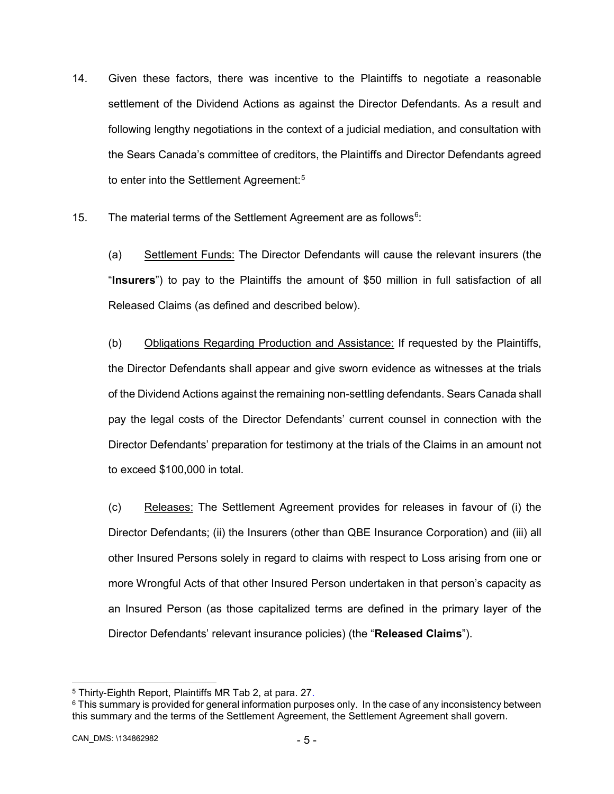- 14. Given these factors, there was incentive to the Plaintiffs to negotiate a reasonable settlement of the Dividend Actions as against the Director Defendants. As a result and following lengthy negotiations in the context of a judicial mediation, and consultation with the Sears Canada's committee of creditors, the Plaintiffs and Director Defendants agreed to enter into the Settlement Agreement:<sup>5</sup>
- 15. The material terms of the Settlement Agreement are as follows $6$ :

(a) Settlement Funds: The Director Defendants will cause the relevant insurers (the "**Insurers**") to pay to the Plaintiffs the amount of \$50 million in full satisfaction of all Released Claims (as defined and described below).

(b) Obligations Regarding Production and Assistance: If requested by the Plaintiffs, the Director Defendants shall appear and give sworn evidence as witnesses at the trials of the Dividend Actions against the remaining non-settling defendants. Sears Canada shall pay the legal costs of the Director Defendants' current counsel in connection with the Director Defendants' preparation for testimony at the trials of the Claims in an amount not to exceed \$100,000 in total.

(c) Releases: The Settlement Agreement provides for releases in favour of (i) the Director Defendants; (ii) the Insurers (other than QBE Insurance Corporation) and (iii) all other Insured Persons solely in regard to claims with respect to Loss arising from one or more Wrongful Acts of that other Insured Person undertaken in that person's capacity as an Insured Person (as those capitalized terms are defined in the primary layer of the Director Defendants' relevant insurance policies) (the "**Released Claims**").

<span id="page-7-0"></span> <sup>5</sup> Thirty-Eighth Report, Plaintiffs MR Tab 2, at para. 27.

<span id="page-7-1"></span> $6$  This summary is provided for general information purposes only. In the case of any inconsistency between this summary and the terms of the Settlement Agreement, the Settlement Agreement shall govern.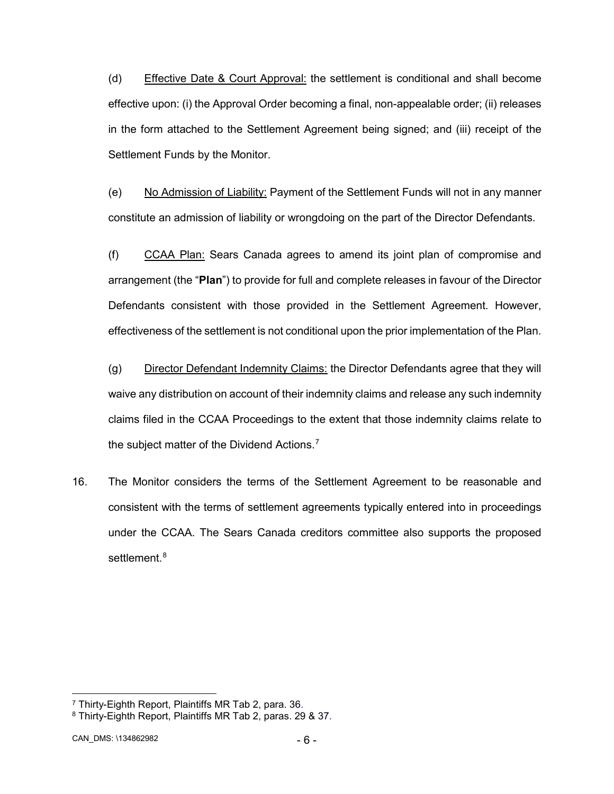(d) Effective Date & Court Approval: the settlement is conditional and shall become effective upon: (i) the Approval Order becoming a final, non-appealable order; (ii) releases in the form attached to the Settlement Agreement being signed; and (iii) receipt of the Settlement Funds by the Monitor.

(e) No Admission of Liability: Payment of the Settlement Funds will not in any manner constitute an admission of liability or wrongdoing on the part of the Director Defendants.

(f) CCAA Plan: Sears Canada agrees to amend its joint plan of compromise and arrangement (the "**Plan**") to provide for full and complete releases in favour of the Director Defendants consistent with those provided in the Settlement Agreement. However, effectiveness of the settlement is not conditional upon the prior implementation of the Plan.

(g) Director Defendant Indemnity Claims: the Director Defendants agree that they will waive any distribution on account of their indemnity claims and release any such indemnity claims filed in the CCAA Proceedings to the extent that those indemnity claims relate to the subject matter of the Dividend Actions.<sup>[7](#page-8-0)</sup>

16. The Monitor considers the terms of the Settlement Agreement to be reasonable and consistent with the terms of settlement agreements typically entered into in proceedings under the CCAA. The Sears Canada creditors committee also supports the proposed settlement.<sup>[8](#page-8-1)</sup>

<span id="page-8-0"></span> <sup>7</sup> Thirty-Eighth Report, Plaintiffs MR Tab 2, para. 36.

<span id="page-8-1"></span><sup>8</sup> Thirty-Eighth Report, Plaintiffs MR Tab 2, paras. 29 & 37.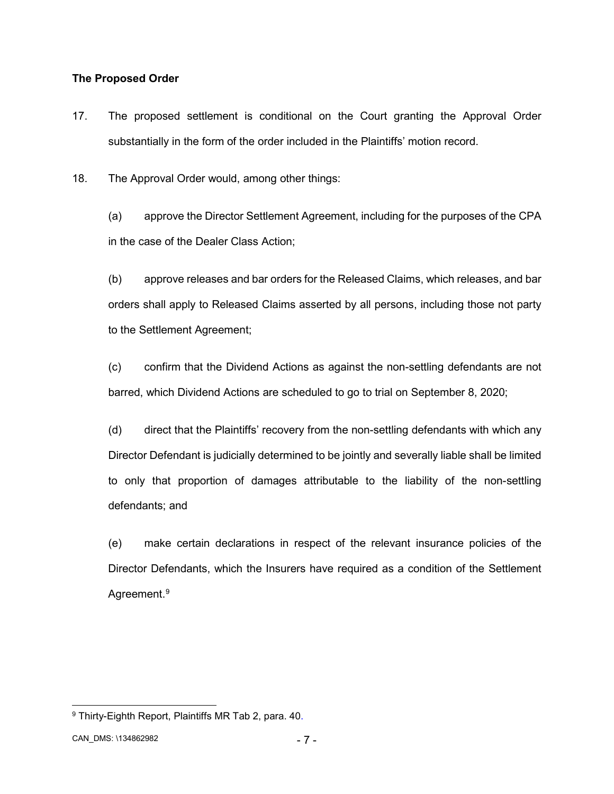# **The Proposed Order**

17. The proposed settlement is conditional on the Court granting the Approval Order substantially in the form of the order included in the Plaintiffs' motion record.

18. The Approval Order would, among other things:

(a) approve the Director Settlement Agreement, including for the purposes of the CPA in the case of the Dealer Class Action;

(b) approve releases and bar orders for the Released Claims, which releases, and bar orders shall apply to Released Claims asserted by all persons, including those not party to the Settlement Agreement;

(c) confirm that the Dividend Actions as against the non-settling defendants are not barred, which Dividend Actions are scheduled to go to trial on September 8, 2020;

(d) direct that the Plaintiffs' recovery from the non-settling defendants with which any Director Defendant is judicially determined to be jointly and severally liable shall be limited to only that proportion of damages attributable to the liability of the non-settling defendants; and

(e) make certain declarations in respect of the relevant insurance policies of the Director Defendants, which the Insurers have required as a condition of the Settlement Agreement.<sup>[9](#page-9-0)</sup>

<span id="page-9-0"></span> <sup>9</sup> Thirty-Eighth Report, Plaintiffs MR Tab 2, para. 40.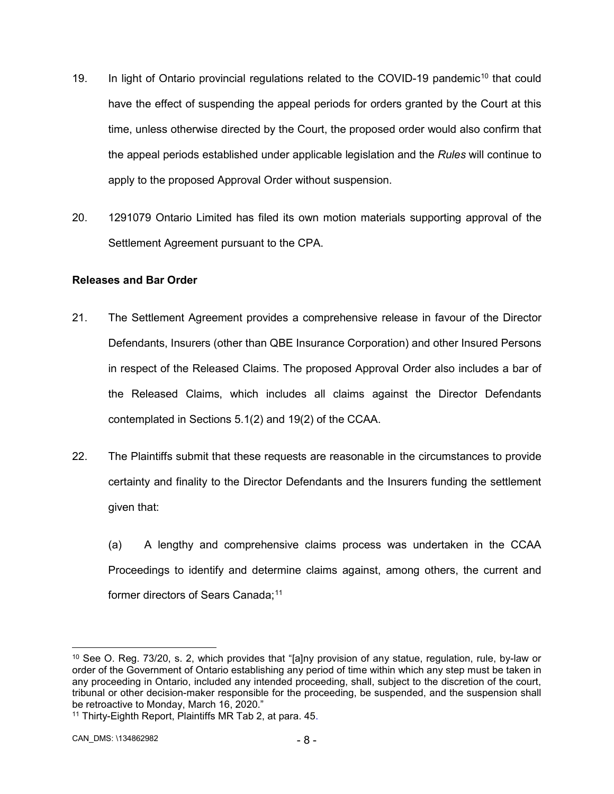- 19. In light of Ontario provincial regulations related to the COVID-19 pandemic<sup>[10](#page-10-0)</sup> that could have the effect of suspending the appeal periods for orders granted by the Court at this time, unless otherwise directed by the Court, the proposed order would also confirm that the appeal periods established under applicable legislation and the *Rules* will continue to apply to the proposed Approval Order without suspension.
- 20. 1291079 Ontario Limited has filed its own motion materials supporting approval of the Settlement Agreement pursuant to the CPA.

# **Releases and Bar Order**

- 21. The Settlement Agreement provides a comprehensive release in favour of the Director Defendants, Insurers (other than QBE Insurance Corporation) and other Insured Persons in respect of the Released Claims. The proposed Approval Order also includes a bar of the Released Claims, which includes all claims against the Director Defendants contemplated in Sections 5.1(2) and 19(2) of the CCAA.
- 22. The Plaintiffs submit that these requests are reasonable in the circumstances to provide certainty and finality to the Director Defendants and the Insurers funding the settlement given that:
	- (a) A lengthy and comprehensive claims process was undertaken in the CCAA Proceedings to identify and determine claims against, among others, the current and former directors of Sears Canada;<sup>[11](#page-10-1)</sup>

<span id="page-10-0"></span> <sup>10</sup> See O. Reg. 73/20, s. 2, which provides that "[a]ny provision of any statue, regulation, rule, by-law or order of the Government of Ontario establishing any period of time within which any step must be taken in any proceeding in Ontario, included any intended proceeding, shall, subject to the discretion of the court, tribunal or other decision-maker responsible for the proceeding, be suspended, and the suspension shall be retroactive to Monday, March 16, 2020."

<span id="page-10-1"></span><sup>11</sup> Thirty-Eighth Report, Plaintiffs MR Tab 2, at para. 45.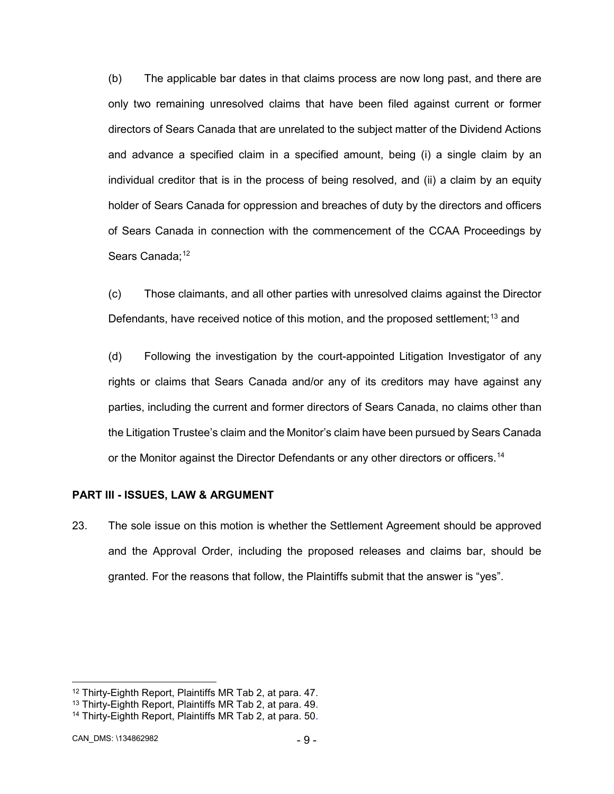(b) The applicable bar dates in that claims process are now long past, and there are only two remaining unresolved claims that have been filed against current or former directors of Sears Canada that are unrelated to the subject matter of the Dividend Actions and advance a specified claim in a specified amount, being (i) a single claim by an individual creditor that is in the process of being resolved, and (ii) a claim by an equity holder of Sears Canada for oppression and breaches of duty by the directors and officers of Sears Canada in connection with the commencement of the CCAA Proceedings by Sears Canada:<sup>[12](#page-11-0)</sup>

(c) Those claimants, and all other parties with unresolved claims against the Director Defendants, have received notice of this motion, and the proposed settlement:<sup>[13](#page-11-1)</sup> and

(d) Following the investigation by the court-appointed Litigation Investigator of any rights or claims that Sears Canada and/or any of its creditors may have against any parties, including the current and former directors of Sears Canada, no claims other than the Litigation Trustee's claim and the Monitor's claim have been pursued by Sears Canada or the Monitor against the Director Defendants or any other directors or officers.<sup>[14](#page-11-2)</sup>

#### **PART III - ISSUES, LAW & ARGUMENT**

23. The sole issue on this motion is whether the Settlement Agreement should be approved and the Approval Order, including the proposed releases and claims bar, should be granted. For the reasons that follow, the Plaintiffs submit that the answer is "yes".

<span id="page-11-0"></span> <sup>12</sup> Thirty-Eighth Report, Plaintiffs MR Tab 2, at para. 47.

<span id="page-11-1"></span><sup>13</sup> Thirty-Eighth Report, Plaintiffs MR Tab 2, at para. 49.

<span id="page-11-2"></span><sup>14</sup> Thirty-Eighth Report, Plaintiffs MR Tab 2, at para. 50.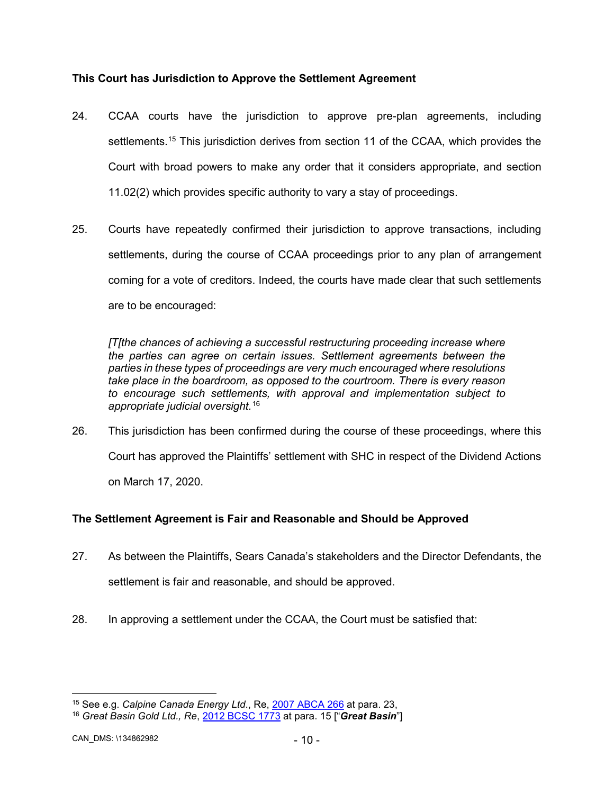# **This Court has Jurisdiction to Approve the Settlement Agreement**

- 24. CCAA courts have the jurisdiction to approve pre-plan agreements, including settlements.<sup>[15](#page-12-0)</sup> This jurisdiction derives from section 11 of the CCAA, which provides the Court with broad powers to make any order that it considers appropriate, and section 11.02(2) which provides specific authority to vary a stay of proceedings.
- 25. Courts have repeatedly confirmed their jurisdiction to approve transactions, including settlements, during the course of CCAA proceedings prior to any plan of arrangement coming for a vote of creditors. Indeed, the courts have made clear that such settlements are to be encouraged:

*[T[the chances of achieving a successful restructuring proceeding increase where the parties can agree on certain issues. Settlement agreements between the parties in these types of proceedings are very much encouraged where resolutions take place in the boardroom, as opposed to the courtroom. There is every reason to encourage such settlements, with approval and implementation subject to appropriate judicial oversight.*[16](#page-12-1)

26. This jurisdiction has been confirmed during the course of these proceedings, where this Court has approved the Plaintiffs' settlement with SHC in respect of the Dividend Actions on March 17, 2020.

# **The Settlement Agreement is Fair and Reasonable and Should be Approved**

- 27. As between the Plaintiffs, Sears Canada's stakeholders and the Director Defendants, the settlement is fair and reasonable, and should be approved.
- 28. In approving a settlement under the CCAA, the Court must be satisfied that:

<span id="page-12-0"></span><sup>&</sup>lt;sup>15</sup> See e.g. *C[a](http://canlii.ca/t/1sl3z)lpine Canada Energy Ltd*., Re, <u>2007 ABCA 266</u> at para. 23,<br><sup>16</sup> *Great Basin Gold Ltd., Re*, <u>2012 BCSC 1773</u> at para. 15 ["*Great Basin*"]

<span id="page-12-1"></span>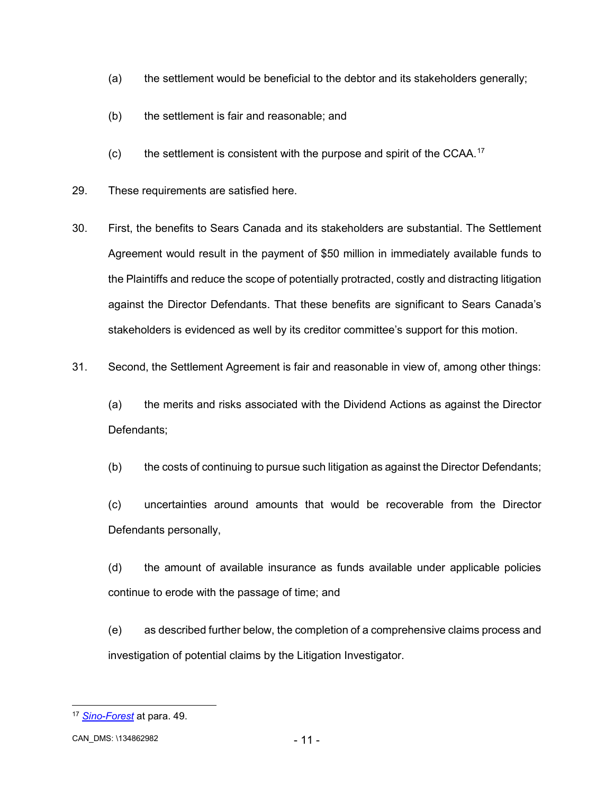- (a) the settlement would be beneficial to the debtor and its stakeholders generally;
- (b) the settlement is fair and reasonable; and
- $(c)$  the settlement is consistent with the purpose and spirit of the CCAA.<sup>[17](#page-13-0)</sup>
- 29. These requirements are satisfied here.
- 30. First, the benefits to Sears Canada and its stakeholders are substantial. The Settlement Agreement would result in the payment of \$50 million in immediately available funds to the Plaintiffs and reduce the scope of potentially protracted, costly and distracting litigation against the Director Defendants. That these benefits are significant to Sears Canada's stakeholders is evidenced as well by its creditor committee's support for this motion.
- 31. Second, the Settlement Agreement is fair and reasonable in view of, among other things:

(a) the merits and risks associated with the Dividend Actions as against the Director Defendants;

(b) the costs of continuing to pursue such litigation as against the Director Defendants;

(c) uncertainties around amounts that would be recoverable from the Director Defendants personally,

(d) the amount of available insurance as funds available under applicable policies continue to erode with the passage of time; and

(e) as described further below, the completion of a comprehensive claims process and investigation of potential claims by the Litigation Investigator.

<span id="page-13-0"></span> <sup>17</sup> *[Sino-Forest](http://canlii.ca/t/fwq19)* at para. 49.

CAN\_DMS: - 11 - \134862982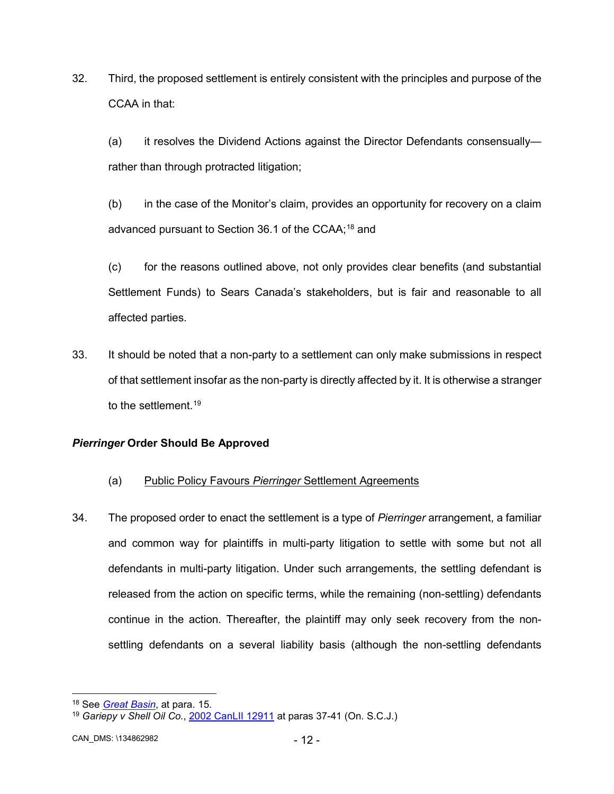32. Third, the proposed settlement is entirely consistent with the principles and purpose of the CCAA in that:

(a) it resolves the Dividend Actions against the Director Defendants consensually rather than through protracted litigation;

(b) in the case of the Monitor's claim, provides an opportunity for recovery on a claim advanced pursuant to Section 36.1 of the CCAA;<sup>[18](#page-14-0)</sup> and

(c) for the reasons outlined above, not only provides clear benefits (and substantial Settlement Funds) to Sears Canada's stakeholders, but is fair and reasonable to all affected parties.

33. It should be noted that a non-party to a settlement can only make submissions in respect of that settlement insofar as the non-party is directly affected by it. It is otherwise a stranger to the settlement.<sup>[19](#page-14-1)</sup>

# *Pierringer* **Order Should Be Approved**

- (a) Public Policy Favours *Pierringer* Settlement Agreements
- 34. The proposed order to enact the settlement is a type of *Pierringer* arrangement, a familiar and common way for plaintiffs in multi-party litigation to settle with some but not all defendants in multi-party litigation. Under such arrangements, the settling defendant is released from the action on specific terms, while the remaining (non-settling) defendants continue in the action. Thereafter, the plaintiff may only seek recovery from the nonsettling defendants on a several liability basis (although the non-settling defendants

<span id="page-14-0"></span> <sup>18</sup> See *[Great Basin](http://canlii.ca/t/ftz0c)*, at para. 15.

<span id="page-14-1"></span><sup>19</sup> *Gariepy v Shell Oil Co.*, [2002 CanLII 12911](http://canlii.ca/t/1ckjq) at paras 37-41 (On. S.C.J.)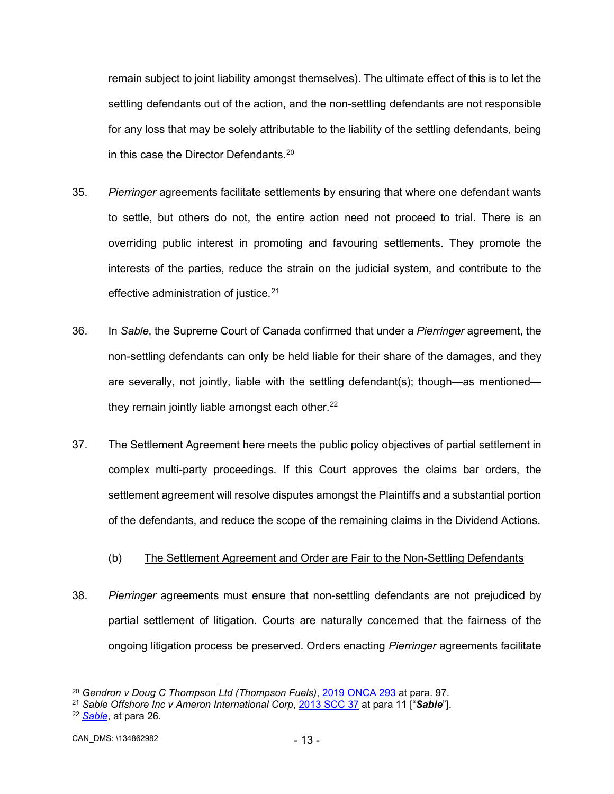remain subject to joint liability amongst themselves). The ultimate effect of this is to let the settling defendants out of the action, and the non-settling defendants are not responsible for any loss that may be solely attributable to the liability of the settling defendants, being in this case the Director Defendants.<sup>[20](#page-15-0)</sup>

- 35. *Pierringer* agreements facilitate settlements by ensuring that where one defendant wants to settle, but others do not, the entire action need not proceed to trial. There is an overriding public interest in promoting and favouring settlements. They promote the interests of the parties, reduce the strain on the judicial system, and contribute to the effective administration of justice.<sup>[21](#page-15-1)</sup>
- 36. In *Sable*, the Supreme Court of Canada confirmed that under a *Pierringer* agreement, the non-settling defendants can only be held liable for their share of the damages, and they are severally, not jointly, liable with the settling defendant(s); though—as mentioned they remain jointly liable amongst each other. $^{22}$  $^{22}$  $^{22}$
- 37. The Settlement Agreement here meets the public policy objectives of partial settlement in complex multi-party proceedings. If this Court approves the claims bar orders, the settlement agreement will resolve disputes amongst the Plaintiffs and a substantial portion of the defendants, and reduce the scope of the remaining claims in the Dividend Actions.
	- (b) The Settlement Agreement and Order are Fair to the Non-Settling Defendants
- 38. *Pierringer* agreements must ensure that non-settling defendants are not prejudiced by partial settlement of litigation. Courts are naturally concerned that the fairness of the ongoing litigation process be preserved. Orders enacting *Pierringer* agreements facilitate

<span id="page-15-0"></span> <sup>20</sup> *Gendron v Doug C Thompson Ltd (Thompson Fuels)*, [2019 ONCA 293](http://canlii.ca/t/hzqnv) at para. 97.

<span id="page-15-1"></span><sup>21</sup> *Sable Offshore Inc v Ameron International Corp*, [2013 SCC 37](http://canlii.ca/t/fzcgw) at para 11 ["*Sable*"].

<span id="page-15-2"></span><sup>22</sup> *[Sable](http://canlii.ca/t/fzcgw)*, at para 26.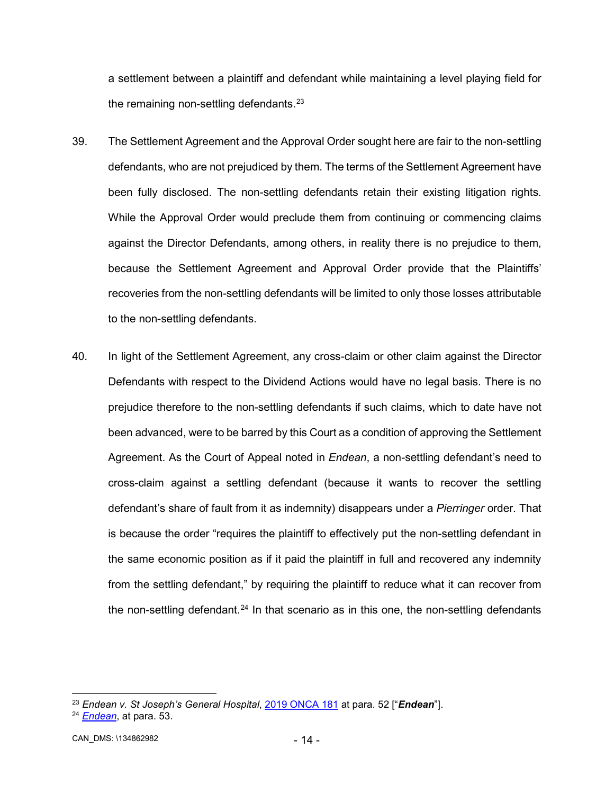a settlement between a plaintiff and defendant while maintaining a level playing field for the remaining non-settling defendants. $23$ 

- 39. The Settlement Agreement and the Approval Order sought here are fair to the non-settling defendants, who are not prejudiced by them. The terms of the Settlement Agreement have been fully disclosed. The non-settling defendants retain their existing litigation rights. While the Approval Order would preclude them from continuing or commencing claims against the Director Defendants, among others, in reality there is no prejudice to them, because the Settlement Agreement and Approval Order provide that the Plaintiffs' recoveries from the non-settling defendants will be limited to only those losses attributable to the non-settling defendants.
- 40. In light of the Settlement Agreement, any cross-claim or other claim against the Director Defendants with respect to the Dividend Actions would have no legal basis. There is no prejudice therefore to the non-settling defendants if such claims, which to date have not been advanced, were to be barred by this Court as a condition of approving the Settlement Agreement. As the Court of Appeal noted in *Endean*, a non-settling defendant's need to cross-claim against a settling defendant (because it wants to recover the settling defendant's share of fault from it as indemnity) disappears under a *Pierringer* order. That is because the order "requires the plaintiff to effectively put the non-settling defendant in the same economic position as if it paid the plaintiff in full and recovered any indemnity from the settling defendant," by requiring the plaintiff to reduce what it can recover from the non-settling defendant.<sup>[24](#page-16-1)</sup> In that scenario as in this one, the non-settling defendants

<span id="page-16-0"></span> <sup>23</sup> *Endean v. St Joseph's General Hospital*, [2019 ONCA 181](http://canlii.ca/t/hxxb6) at para. 52 ["*Endean*"].

<span id="page-16-1"></span><sup>24</sup> *[Endean](http://canlii.ca/t/hxxb6)*, at para. 53.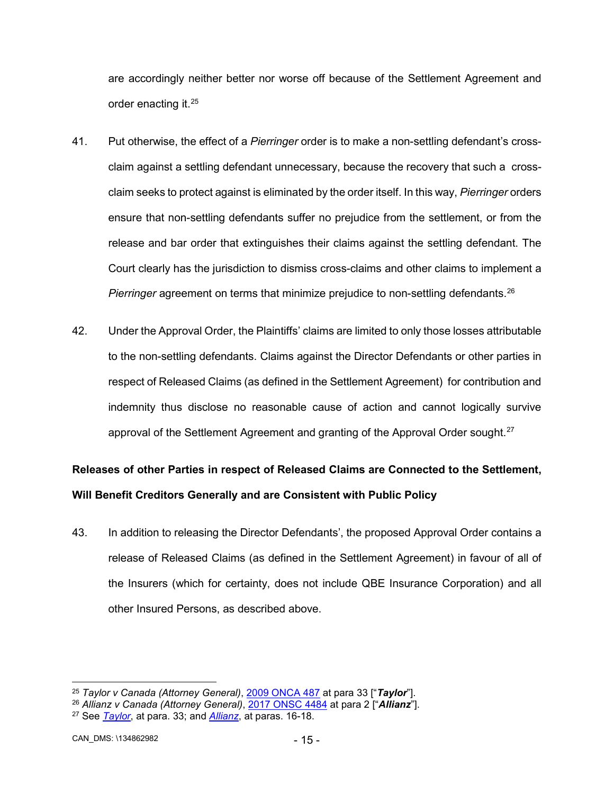are accordingly neither better nor worse off because of the Settlement Agreement and order enacting it[.25](#page-17-0)

- 41. Put otherwise, the effect of a *Pierringer* order is to make a non-settling defendant's crossclaim against a settling defendant unnecessary, because the recovery that such a crossclaim seeks to protect against is eliminated by the order itself. In this way, *Pierringer* orders ensure that non-settling defendants suffer no prejudice from the settlement, or from the release and bar order that extinguishes their claims against the settling defendant. The Court clearly has the jurisdiction to dismiss cross-claims and other claims to implement a *Pierringer* agreement on terms that minimize prejudice to non-settling defendants.<sup>[26](#page-17-1)</sup>
- 42. Under the Approval Order, the Plaintiffs' claims are limited to only those losses attributable to the non-settling defendants. Claims against the Director Defendants or other parties in respect of Released Claims (as defined in the Settlement Agreement) for contribution and indemnity thus disclose no reasonable cause of action and cannot logically survive approval of the Settlement Agreement and granting of the Approval Order sought.<sup>[27](#page-17-2)</sup>

# **Releases of other Parties in respect of Released Claims are Connected to the Settlement, Will Benefit Creditors Generally and are Consistent with Public Policy**

43. In addition to releasing the Director Defendants', the proposed Approval Order contains a release of Released Claims (as defined in the Settlement Agreement) in favour of all of the Insurers (which for certainty, does not include QBE Insurance Corporation) and all other Insured Persons, as described above.

<span id="page-17-0"></span> <sup>25</sup> *Taylor v Canada (Attorney General)*, [2009 ONCA 487](http://canlii.ca/t/240jq) at para 33 ["*Taylor*"].

<span id="page-17-1"></span><sup>26</sup> *Allianz v Canada (Attorney General)*, [2017 ONSC 4484](http://canlii.ca/t/h50f6) at para 2 ["*Allianz*"].

<span id="page-17-2"></span><sup>27</sup> See *[Taylor](http://canlii.ca/t/240jq)*, at para. 33; and *[Allianz](http://canlii.ca/t/h50f6)*, at paras. 16-18.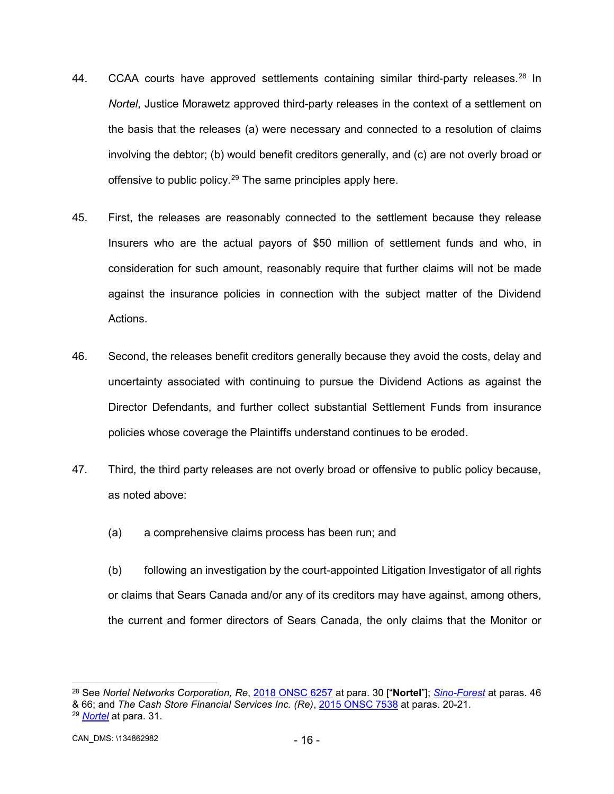- 44. CCAA courts have approved settlements containing similar third-party releases.<sup>[28](#page-18-0)</sup> In *Nortel*, Justice Morawetz approved third-party releases in the context of a settlement on the basis that the releases (a) were necessary and connected to a resolution of claims involving the debtor; (b) would benefit creditors generally, and (c) are not overly broad or offensive to public policy.<sup>[29](#page-18-1)</sup> The same principles apply here.
- 45. First, the releases are reasonably connected to the settlement because they release Insurers who are the actual payors of \$50 million of settlement funds and who, in consideration for such amount, reasonably require that further claims will not be made against the insurance policies in connection with the subject matter of the Dividend Actions.
- 46. Second, the releases benefit creditors generally because they avoid the costs, delay and uncertainty associated with continuing to pursue the Dividend Actions as against the Director Defendants, and further collect substantial Settlement Funds from insurance policies whose coverage the Plaintiffs understand continues to be eroded.
- 47. Third, the third party releases are not overly broad or offensive to public policy because, as noted above:
	- (a) a comprehensive claims process has been run; and
	- (b) following an investigation by the court-appointed Litigation Investigator of all rights or claims that Sears Canada and/or any of its creditors may have against, among others, the current and former directors of Sears Canada, the only claims that the Monitor or

<span id="page-18-0"></span> <sup>28</sup> See *Nortel Networks Corporation, Re*, [2018 ONSC 6257](http://canlii.ca/t/hw2cf) at para. 30 ["**Nortel**"]; *[Sino-Forest](http://canlii.ca/t/fwq19)* at paras. 46 & 66; and *The Cash Store Financial Services Inc. (Re)*, [2015 ONSC 7538](http://canlii.ca/t/gn05v) at paras. 20-21.

<span id="page-18-1"></span><sup>29</sup> *[Nortel](http://canlii.ca/t/hw2cf)* at para. 31.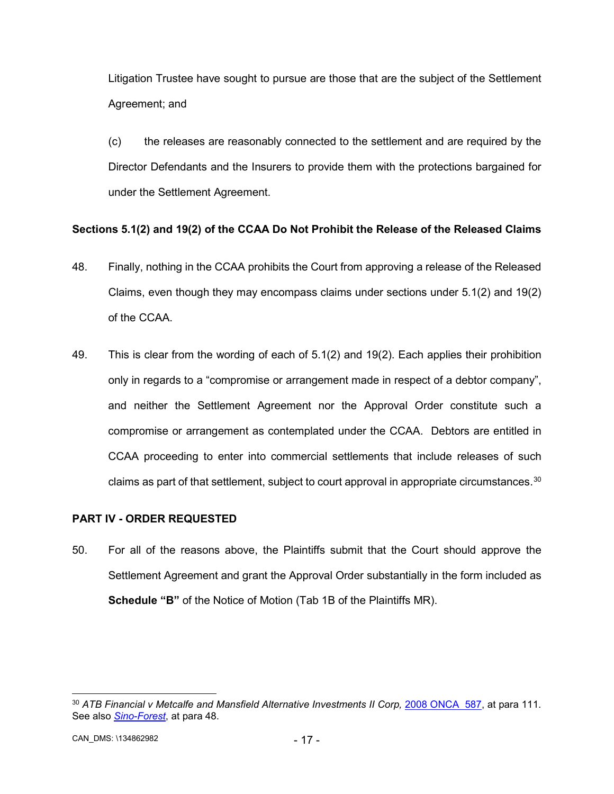Litigation Trustee have sought to pursue are those that are the subject of the Settlement Agreement; and

(c) the releases are reasonably connected to the settlement and are required by the Director Defendants and the Insurers to provide them with the protections bargained for under the Settlement Agreement.

# **Sections 5.1(2) and 19(2) of the CCAA Do Not Prohibit the Release of the Released Claims**

- 48. Finally, nothing in the CCAA prohibits the Court from approving a release of the Released Claims, even though they may encompass claims under sections under 5.1(2) and 19(2) of the CCAA.
- 49. This is clear from the wording of each of 5.1(2) and 19(2). Each applies their prohibition only in regards to a "compromise or arrangement made in respect of a debtor company", and neither the Settlement Agreement nor the Approval Order constitute such a compromise or arrangement as contemplated under the CCAA. Debtors are entitled in CCAA proceeding to enter into commercial settlements that include releases of such claims as part of that settlement, subject to court approval in appropriate circumstances. $^{\rm 30}$  $^{\rm 30}$  $^{\rm 30}$

# **PART IV - ORDER REQUESTED**

50. For all of the reasons above, the Plaintiffs submit that the Court should approve the Settlement Agreement and grant the Approval Order substantially in the form included as **Schedule "B"** of the Notice of Motion (Tab 1B of the Plaintiffs MR).

<span id="page-19-0"></span><sup>&</sup>lt;sup>30</sup> ATB Financial v Metcalfe and Mansfield Alternative Investments II Corp, [2008 ONCA 587,](http://canlii.ca/t/20bks) at para 111. See also *[Sino-Forest](http://canlii.ca/t/fwq19)*, at para 48.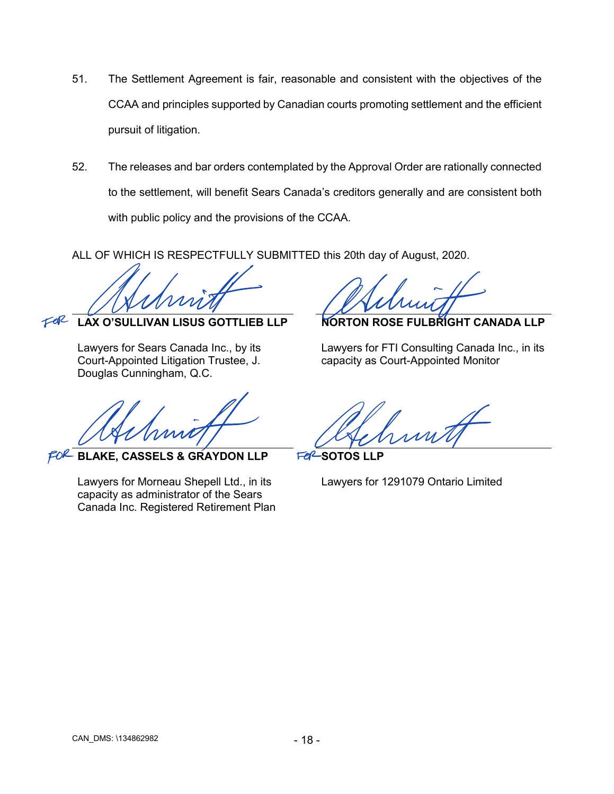- 51. The Settlement Agreement is fair, reasonable and consistent with the objectives of the CCAA and principles supported by Canadian courts promoting settlement and the efficient pursuit of litigation.
- 52. The releases and bar orders contemplated by the Approval Order are rationally connected to the settlement, will benefit Sears Canada's creditors generally and are consistent both with public policy and the provisions of the CCAA.

ALL OF WHICH IS RESPECTFULLY SUBMITTED this 20th day of August, 2020.

Athmitt Athmit

**LAX O'SULLIVAN LISUS GOTTLIEB LLP** 

Lawyers for Sears Canada Inc., by its Court-Appointed Litigation Trustee, J. Douglas Cunningham, Q.C.

FOR

Almitt Chehmitt

FOR **BLAKE, CASSELS & GRAYDON LLP**

Lawyers for Morneau Shepell Ltd., in its capacity as administrator of the Sears Canada Inc. Registered Retirement Plan

**NORTON ROSE FULBRIGHT CANADA LLP**

Lawyers for FTI Consulting Canada Inc., in its capacity as Court-Appointed Monitor

**Fe<sup>2</sup>-SOTOS LLP** 

Lawyers for 1291079 Ontario Limited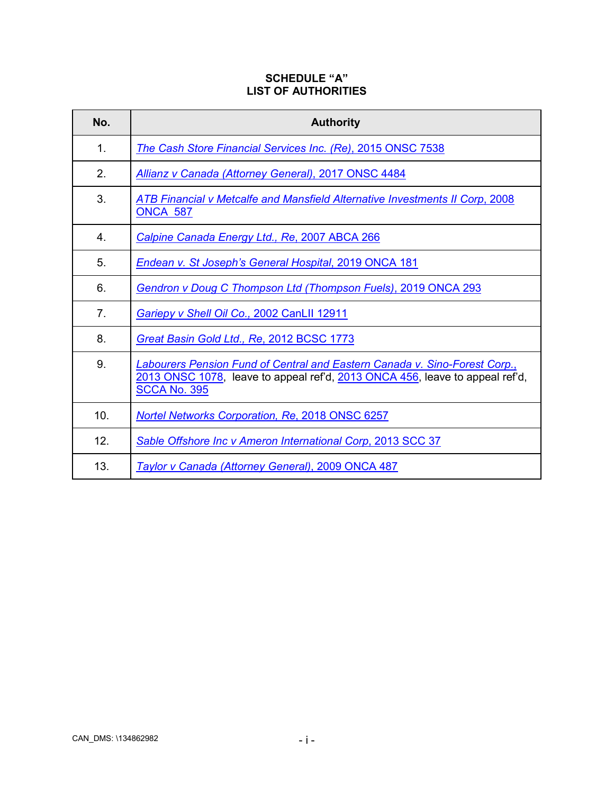# **SCHEDULE "A" LIST OF AUTHORITIES**

| No.            | <b>Authority</b>                                                                                                                                                                  |  |  |  |  |  |
|----------------|-----------------------------------------------------------------------------------------------------------------------------------------------------------------------------------|--|--|--|--|--|
| 1.             | The Cash Store Financial Services Inc. (Re), 2015 ONSC 7538                                                                                                                       |  |  |  |  |  |
| 2.             | Allianz v Canada (Attorney General), 2017 ONSC 4484                                                                                                                               |  |  |  |  |  |
| 3.             | ATB Financial v Metcalfe and Mansfield Alternative Investments II Corp, 2008<br><b>ONCA 587</b>                                                                                   |  |  |  |  |  |
| $4_{\cdot}$    | Calpine Canada Energy Ltd., Re, 2007 ABCA 266                                                                                                                                     |  |  |  |  |  |
| 5.             | Endean v. St Joseph's General Hospital, 2019 ONCA 181                                                                                                                             |  |  |  |  |  |
| 6.             | Gendron v Doug C Thompson Ltd (Thompson Fuels), 2019 ONCA 293                                                                                                                     |  |  |  |  |  |
| 7 <sub>1</sub> | Gariepy v Shell Oil Co., 2002 CanLII 12911                                                                                                                                        |  |  |  |  |  |
| 8.             | Great Basin Gold Ltd., Re, 2012 BCSC 1773                                                                                                                                         |  |  |  |  |  |
| 9.             | Labourers Pension Fund of Central and Eastern Canada v. Sino-Forest Corp.,<br>2013 ONSC 1078, leave to appeal ref'd, 2013 ONCA 456, leave to appeal ref'd,<br><b>SCCA No. 395</b> |  |  |  |  |  |
| 10.            | <b>Nortel Networks Corporation, Re, 2018 ONSC 6257</b>                                                                                                                            |  |  |  |  |  |
| 12.            | Sable Offshore Inc v Ameron International Corp, 2013 SCC 37                                                                                                                       |  |  |  |  |  |
| 13.            | Taylor v Canada (Attorney General), 2009 ONCA 487                                                                                                                                 |  |  |  |  |  |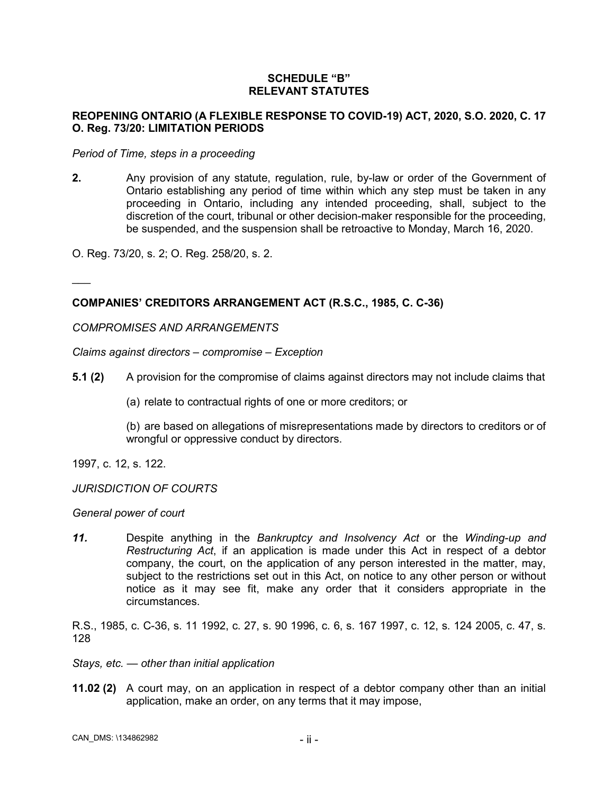# **SCHEDULE "B" RELEVANT STATUTES**

# **REOPENING ONTARIO (A FLEXIBLE RESPONSE TO COVID-19) ACT, 2020, S.O. 2020, C. 17 O. Reg. 73/20: LIMITATION PERIODS**

#### *Period of Time, steps in a proceeding*

**2.** Any provision of any statute, regulation, rule, by-law or order of the Government of Ontario establishing any period of time within which any step must be taken in any proceeding in Ontario, including any intended proceeding, shall, subject to the discretion of the court, tribunal or other decision-maker responsible for the proceeding, be suspended, and the suspension shall be retroactive to Monday, March 16, 2020.

O. Reg. 73/20, s. 2; O. Reg. 258/20, s. 2.

# **COMPANIES' CREDITORS ARRANGEMENT ACT (R.S.C., 1985, C. C-36)**

*COMPROMISES AND ARRANGEMENTS*

*Claims against directors – compromise – Exception*

- **5.1 (2)** A provision for the compromise of claims against directors may not include claims that
	- (a) relate to contractual rights of one or more creditors; or

(b) are based on allegations of misrepresentations made by directors to creditors or of wrongful or oppressive conduct by directors.

1997, c. 12, s. 122.

 $\overline{\phantom{a}}$ 

#### *JURISDICTION OF COURTS*

*General power of court*

*11.* Despite anything in the *Bankruptcy and Insolvency Act* or the *Winding-up and Restructuring Act*, if an application is made under this Act in respect of a debtor company, the court, on the application of any person interested in the matter, may, subject to the restrictions set out in this Act, on notice to any other person or without notice as it may see fit, make any order that it considers appropriate in the circumstances.

R.S., 1985, c. C-36, s. 11 1992, c. 27, s. 90 1996, c. 6, s. 167 1997, c. 12, s. 124 2005, c. 47, s. 128

- *Stays, etc. — other than initial application*
- **11.02 (2)** A court may, on an application in respect of a debtor company other than an initial application, make an order, on any terms that it may impose,

CAN\_DMS: - ii - \134862982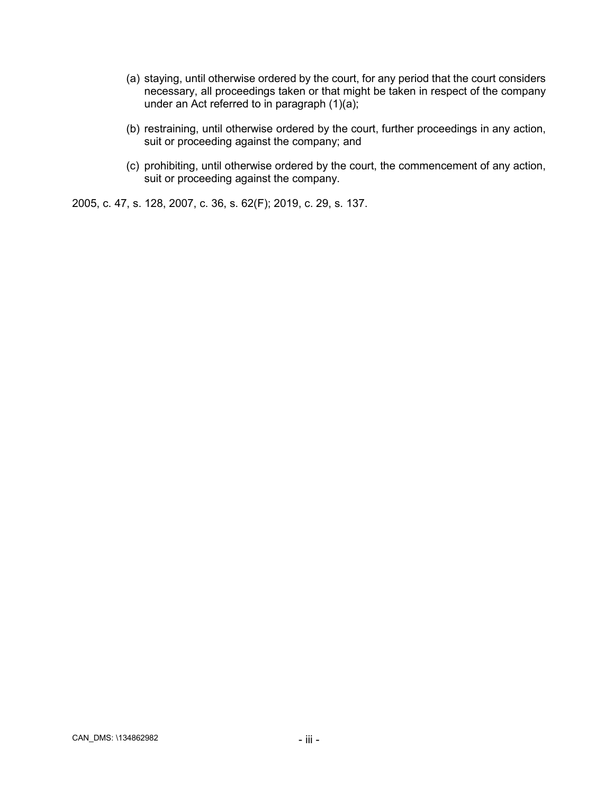- (a) staying, until otherwise ordered by the court, for any period that the court considers necessary, all proceedings taken or that might be taken in respect of the company under an Act referred to in paragraph (1)(a);
- (b) restraining, until otherwise ordered by the court, further proceedings in any action, suit or proceeding against the company; and
- (c) prohibiting, until otherwise ordered by the court, the commencement of any action, suit or proceeding against the company.

2005, c. 47, s. 128, 2007, c. 36, s. 62(F); 2019, c. 29, s. 137.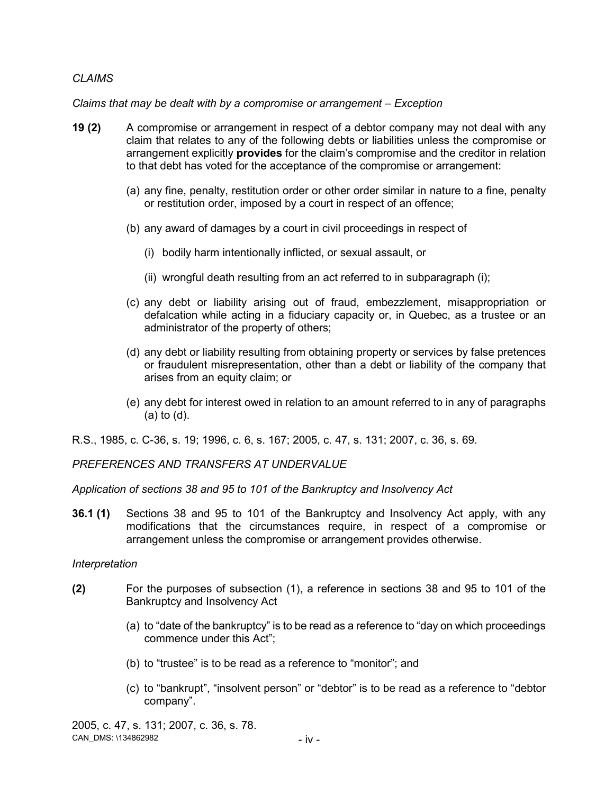# *CLAIMS*

## *Claims that may be dealt with by a compromise or arrangement – Exception*

- **19 (2)** A compromise or arrangement in respect of a debtor company may not deal with any claim that relates to any of the following debts or liabilities unless the compromise or arrangement explicitly **provides** for the claim's compromise and the creditor in relation to that debt has voted for the acceptance of the compromise or arrangement:
	- (a) any fine, penalty, restitution order or other order similar in nature to a fine, penalty or restitution order, imposed by a court in respect of an offence;
	- (b) any award of damages by a court in civil proceedings in respect of
		- (i) bodily harm intentionally inflicted, or sexual assault, or
		- (ii) wrongful death resulting from an act referred to in subparagraph (i);
	- (c) any debt or liability arising out of fraud, embezzlement, misappropriation or defalcation while acting in a fiduciary capacity or, in Quebec, as a trustee or an administrator of the property of others;
	- (d) any debt or liability resulting from obtaining property or services by false pretences or fraudulent misrepresentation, other than a debt or liability of the company that arises from an equity claim; or
	- (e) any debt for interest owed in relation to an amount referred to in any of paragraphs (a) to (d).

R.S., 1985, c. C-36, s. 19; 1996, c. 6, s. 167; 2005, c. 47, s. 131; 2007, c. 36, s. 69.

*PREFERENCES AND TRANSFERS AT UNDERVALUE*

*Application of sections 38 and 95 to 101 of the Bankruptcy and Insolvency Act*

**36.1 (1)** Sections 38 and 95 to 101 of the Bankruptcy and Insolvency Act apply, with any modifications that the circumstances require, in respect of a compromise or arrangement unless the compromise or arrangement provides otherwise.

### *Interpretation*

- **(2)** For the purposes of subsection (1), a reference in sections 38 and 95 to 101 of the Bankruptcy and Insolvency Act
	- (a) to "date of the bankruptcy" is to be read as a reference to "day on which proceedings commence under this Act";
	- (b) to "trustee" is to be read as a reference to "monitor"; and
	- (c) to "bankrupt", "insolvent person" or "debtor" is to be read as a reference to "debtor company".